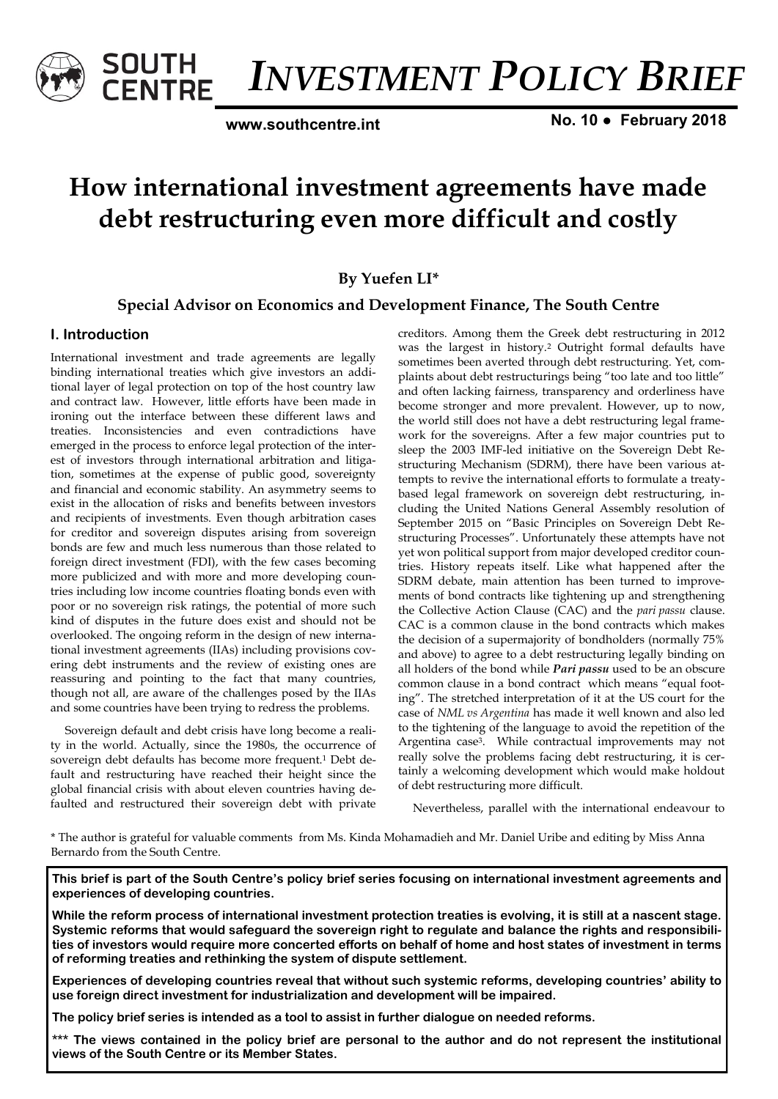

*INVESTMENT POLICY BRIEF* 

**www.southcentre.int**

**No. 10 ● February 2018** 

# **How international investment agreements have made debt restructuring even more difficult and costly**

**By Yuefen LI\***

# **Special Advisor on Economics and Development Finance, The South Centre**

# **I. Introduction**

International investment and trade agreements are legally binding international treaties which give investors an additional layer of legal protection on top of the host country law and contract law. However, little efforts have been made in ironing out the interface between these different laws and treaties. Inconsistencies and even contradictions have emerged in the process to enforce legal protection of the interest of investors through international arbitration and litigation, sometimes at the expense of public good, sovereignty and financial and economic stability. An asymmetry seems to exist in the allocation of risks and benefits between investors and recipients of investments. Even though arbitration cases for creditor and sovereign disputes arising from sovereign bonds are few and much less numerous than those related to foreign direct investment (FDI), with the few cases becoming more publicized and with more and more developing countries including low income countries floating bonds even with poor or no sovereign risk ratings, the potential of more such kind of disputes in the future does exist and should not be overlooked. The ongoing reform in the design of new international investment agreements (IIAs) including provisions covering debt instruments and the review of existing ones are reassuring and pointing to the fact that many countries, though not all, are aware of the challenges posed by the IIAs and some countries have been trying to redress the problems.

Sovereign default and debt crisis have long become a reality in the world. Actually, since the 1980s, the occurrence of sovereign debt defaults has become more frequent.<sup>1</sup> Debt default and restructuring have reached their height since the global financial crisis with about eleven countries having defaulted and restructured their sovereign debt with private

creditors. Among them the Greek debt restructuring in 2012 was the largest in history.<sup>2</sup> Outright formal defaults have sometimes been averted through debt restructuring. Yet, complaints about debt restructurings being "too late and too little" and often lacking fairness, transparency and orderliness have become stronger and more prevalent. However, up to now, the world still does not have a debt restructuring legal framework for the sovereigns. After a few major countries put to sleep the 2003 IMF-led initiative on the Sovereign Debt Restructuring Mechanism (SDRM), there have been various attempts to revive the international efforts to formulate a treatybased legal framework on sovereign debt restructuring, including the United Nations General Assembly resolution of September 2015 on "Basic Principles on Sovereign Debt Restructuring Processes". Unfortunately these attempts have not yet won political support from major developed creditor countries. History repeats itself. Like what happened after the SDRM debate, main attention has been turned to improvements of bond contracts like tightening up and strengthening the Collective Action Clause (CAC) and the *pari passu* clause. CAC is a common clause in the bond contracts which makes the decision of a supermajority of bondholders (normally 75% and above) to agree to a debt restructuring legally binding on all holders of the bond while *Pari passu* used to be an obscure common clause in a bond contract which means "equal footing". The stretched interpretation of it at the US court for the case of *NML vs Argentina* has made it well known and also led to the tightening of the language to avoid the repetition of the Argentina case3. While contractual improvements may not really solve the problems facing debt restructuring, it is certainly a welcoming development which would make holdout of debt restructuring more difficult.

Nevertheless, parallel with the international endeavour to

\* The author is grateful for valuable comments from Ms. Kinda Mohamadieh and Mr. Daniel Uribe and editing by Miss Anna Bernardo from the South Centre.

**This brief is part of the South Centre's policy brief series focusing on international investment agreements and experiences of developing countries.** 

**While the reform process of international investment protection treaties is evolving, it is still at a nascent stage. Systemic reforms that would safeguard the sovereign right to regulate and balance the rights and responsibilities of investors would require more concerted efforts on behalf of home and host states of investment in terms of reforming treaties and rethinking the system of dispute settlement.**

**Experiences of developing countries reveal that without such systemic reforms, developing countries' ability to use foreign direct investment for industrialization and development will be impaired.** 

**The policy brief series is intended as a tool to assist in further dialogue on needed reforms.** 

**\*\*\* The views contained in the policy brief are personal to the author and do not represent the institutional views of the South Centre or its Member States.**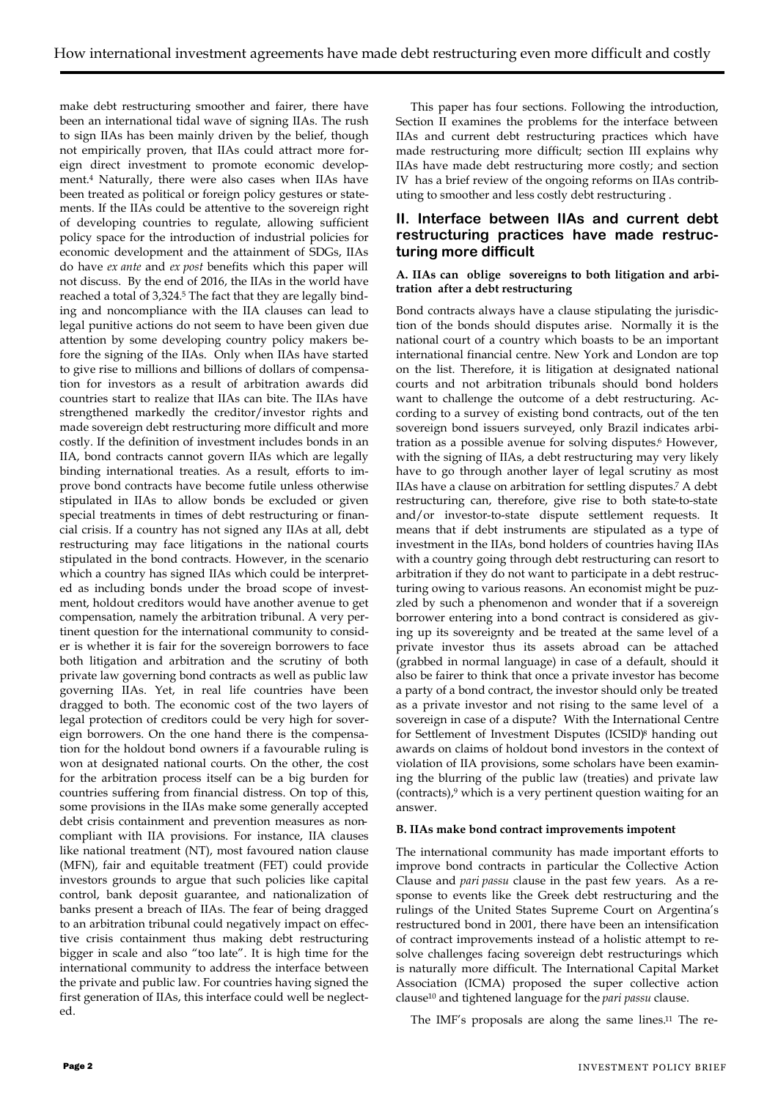make debt restructuring smoother and fairer, there have been an international tidal wave of signing IIAs. The rush to sign IIAs has been mainly driven by the belief, though not empirically proven, that IIAs could attract more foreign direct investment to promote economic development.<sup>4</sup> Naturally, there were also cases when IIAs have been treated as political or foreign policy gestures or statements. If the IIAs could be attentive to the sovereign right of developing countries to regulate, allowing sufficient policy space for the introduction of industrial policies for economic development and the attainment of SDGs, IIAs do have *ex ante* and *ex post* benefits which this paper will not discuss. By the end of 2016, the IIAs in the world have reached a total of 3,324.<sup>5</sup> The fact that they are legally binding and noncompliance with the IIA clauses can lead to legal punitive actions do not seem to have been given due attention by some developing country policy makers before the signing of the IIAs. Only when IIAs have started to give rise to millions and billions of dollars of compensation for investors as a result of arbitration awards did countries start to realize that IIAs can bite. The IIAs have strengthened markedly the creditor/investor rights and made sovereign debt restructuring more difficult and more costly. If the definition of investment includes bonds in an IIA, bond contracts cannot govern IIAs which are legally binding international treaties. As a result, efforts to improve bond contracts have become futile unless otherwise stipulated in IIAs to allow bonds be excluded or given special treatments in times of debt restructuring or financial crisis. If a country has not signed any IIAs at all, debt restructuring may face litigations in the national courts stipulated in the bond contracts. However, in the scenario which a country has signed IIAs which could be interpreted as including bonds under the broad scope of investment, holdout creditors would have another avenue to get compensation, namely the arbitration tribunal. A very pertinent question for the international community to consider is whether it is fair for the sovereign borrowers to face both litigation and arbitration and the scrutiny of both private law governing bond contracts as well as public law governing IIAs. Yet, in real life countries have been dragged to both. The economic cost of the two layers of legal protection of creditors could be very high for sovereign borrowers. On the one hand there is the compensation for the holdout bond owners if a favourable ruling is won at designated national courts. On the other, the cost for the arbitration process itself can be a big burden for countries suffering from financial distress. On top of this, some provisions in the IIAs make some generally accepted debt crisis containment and prevention measures as noncompliant with IIA provisions. For instance, IIA clauses like national treatment (NT), most favoured nation clause (MFN), fair and equitable treatment (FET) could provide investors grounds to argue that such policies like capital control, bank deposit guarantee, and nationalization of banks present a breach of IIAs. The fear of being dragged to an arbitration tribunal could negatively impact on effective crisis containment thus making debt restructuring bigger in scale and also "too late". It is high time for the international community to address the interface between the private and public law. For countries having signed the first generation of IIAs, this interface could well be neglected.

This paper has four sections. Following the introduction, Section II examines the problems for the interface between IIAs and current debt restructuring practices which have made restructuring more difficult; section III explains why IIAs have made debt restructuring more costly; and section IV has a brief review of the ongoing reforms on IIAs contributing to smoother and less costly debt restructuring .

# **II. Interface between IIAs and current debt restructuring practices have made restructuring more difficult**

### **A. IIAs can oblige sovereigns to both litigation and arbitration after a debt restructuring**

Bond contracts always have a clause stipulating the jurisdiction of the bonds should disputes arise. Normally it is the national court of a country which boasts to be an important international financial centre. New York and London are top on the list. Therefore, it is litigation at designated national courts and not arbitration tribunals should bond holders want to challenge the outcome of a debt restructuring. According to a survey of existing bond contracts, out of the ten sovereign bond issuers surveyed, only Brazil indicates arbitration as a possible avenue for solving disputes.<sup>6</sup> However, with the signing of IIAs, a debt restructuring may very likely have to go through another layer of legal scrutiny as most IIAs have a clause on arbitration for settling disputes.<sup>7</sup> A debt restructuring can, therefore, give rise to both state-to-state and/or investor-to-state dispute settlement requests. It means that if debt instruments are stipulated as a type of investment in the IIAs, bond holders of countries having IIAs with a country going through debt restructuring can resort to arbitration if they do not want to participate in a debt restructuring owing to various reasons. An economist might be puzzled by such a phenomenon and wonder that if a sovereign borrower entering into a bond contract is considered as giving up its sovereignty and be treated at the same level of a private investor thus its assets abroad can be attached (grabbed in normal language) in case of a default, should it also be fairer to think that once a private investor has become a party of a bond contract, the investor should only be treated as a private investor and not rising to the same level of a sovereign in case of a dispute? With the International Centre for Settlement of Investment Disputes (ICSID)<sup>8</sup> handing out awards on claims of holdout bond investors in the context of violation of IIA provisions, some scholars have been examining the blurring of the public law (treaties) and private law (contracts),<sup>9</sup> which is a very pertinent question waiting for an answer.

### **B. IIAs make bond contract improvements impotent**

The international community has made important efforts to improve bond contracts in particular the Collective Action Clause and *pari passu* clause in the past few years. As a response to events like the Greek debt restructuring and the rulings of the United States Supreme Court on Argentina's restructured bond in 2001, there have been an intensification of contract improvements instead of a holistic attempt to resolve challenges facing sovereign debt restructurings which is naturally more difficult. The International Capital Market Association (ICMA) proposed the super collective action clause<sup>10</sup> and tightened language for the *pari passu* clause.

The IMF's proposals are along the same lines.<sup>11</sup> The re-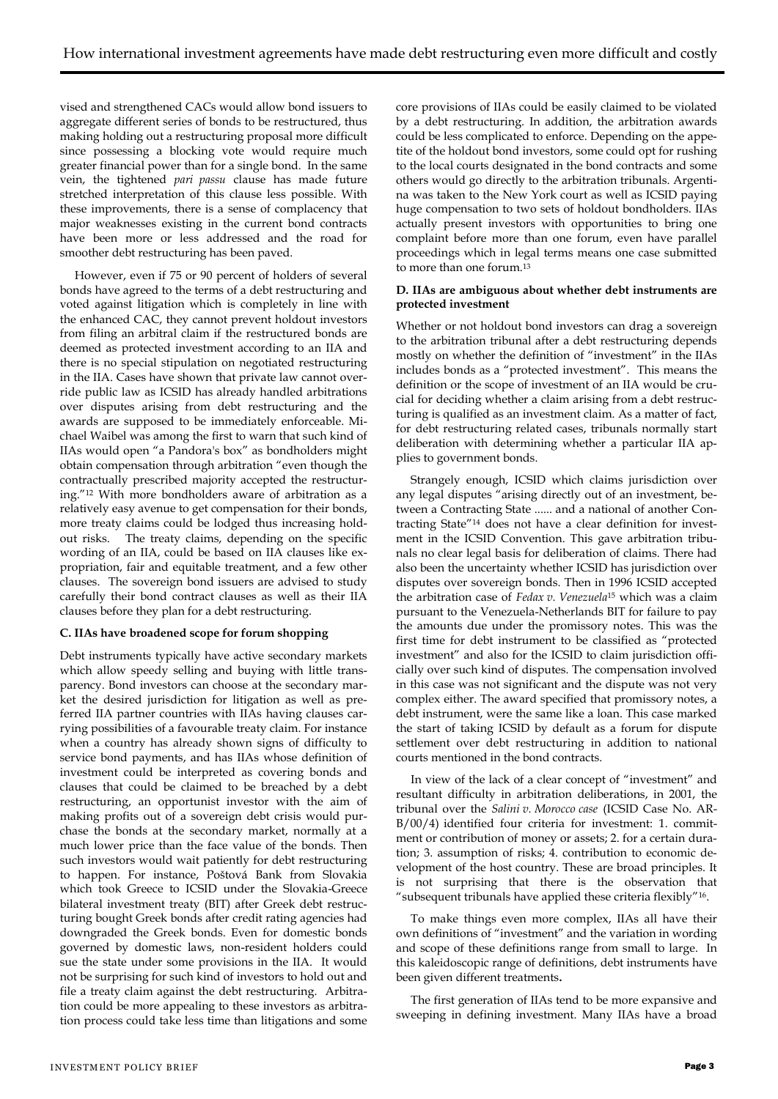vised and strengthened CACs would allow bond issuers to aggregate different series of bonds to be restructured, thus making holding out a restructuring proposal more difficult since possessing a blocking vote would require much greater financial power than for a single bond. In the same vein, the tightened *pari passu* clause has made future stretched interpretation of this clause less possible. With these improvements, there is a sense of complacency that major weaknesses existing in the current bond contracts have been more or less addressed and the road for smoother debt restructuring has been paved.

However, even if 75 or 90 percent of holders of several bonds have agreed to the terms of a debt restructuring and voted against litigation which is completely in line with the enhanced CAC, they cannot prevent holdout investors from filing an arbitral claim if the restructured bonds are deemed as protected investment according to an IIA and there is no special stipulation on negotiated restructuring in the IIA. Cases have shown that private law cannot override public law as ICSID has already handled arbitrations over disputes arising from debt restructuring and the awards are supposed to be immediately enforceable. Michael Waibel was among the first to warn that such kind of IIAs would open "a Pandora's box" as bondholders might obtain compensation through arbitration "even though the contractually prescribed majority accepted the restructuring."<sup>12</sup> With more bondholders aware of arbitration as a relatively easy avenue to get compensation for their bonds, more treaty claims could be lodged thus increasing holdout risks. The treaty claims, depending on the specific wording of an IIA, could be based on IIA clauses like expropriation, fair and equitable treatment, and a few other clauses. The sovereign bond issuers are advised to study carefully their bond contract clauses as well as their IIA clauses before they plan for a debt restructuring.

### **C. IIAs have broadened scope for forum shopping**

Debt instruments typically have active secondary markets which allow speedy selling and buying with little transparency. Bond investors can choose at the secondary market the desired jurisdiction for litigation as well as preferred IIA partner countries with IIAs having clauses carrying possibilities of a favourable treaty claim. For instance when a country has already shown signs of difficulty to service bond payments, and has IIAs whose definition of investment could be interpreted as covering bonds and clauses that could be claimed to be breached by a debt restructuring, an opportunist investor with the aim of making profits out of a sovereign debt crisis would purchase the bonds at the secondary market, normally at a much lower price than the face value of the bonds. Then such investors would wait patiently for debt restructuring to happen. For instance, Poštová Bank from Slovakia which took Greece to ICSID under the Slovakia-Greece bilateral investment treaty (BIT) after Greek debt restructuring bought Greek bonds after credit rating agencies had downgraded the Greek bonds. Even for domestic bonds governed by domestic laws, non-resident holders could sue the state under some provisions in the IIA. It would not be surprising for such kind of investors to hold out and file a treaty claim against the debt restructuring. Arbitration could be more appealing to these investors as arbitration process could take less time than litigations and some

core provisions of IIAs could be easily claimed to be violated by a debt restructuring. In addition, the arbitration awards could be less complicated to enforce. Depending on the appetite of the holdout bond investors, some could opt for rushing to the local courts designated in the bond contracts and some others would go directly to the arbitration tribunals. Argentina was taken to the New York court as well as ICSID paying huge compensation to two sets of holdout bondholders. IIAs actually present investors with opportunities to bring one complaint before more than one forum, even have parallel proceedings which in legal terms means one case submitted to more than one forum.<sup>13</sup>

### **D. IIAs are ambiguous about whether debt instruments are protected investment**

Whether or not holdout bond investors can drag a sovereign to the arbitration tribunal after a debt restructuring depends mostly on whether the definition of "investment" in the IIAs includes bonds as a "protected investment". This means the definition or the scope of investment of an IIA would be crucial for deciding whether a claim arising from a debt restructuring is qualified as an investment claim. As a matter of fact, for debt restructuring related cases, tribunals normally start deliberation with determining whether a particular IIA applies to government bonds.

Strangely enough, ICSID which claims jurisdiction over any legal disputes "arising directly out of an investment, between a Contracting State ...... and a national of another Contracting State"<sup>14</sup> does not have a clear definition for investment in the ICSID Convention. This gave arbitration tribunals no clear legal basis for deliberation of claims. There had also been the uncertainty whether ICSID has jurisdiction over disputes over sovereign bonds. Then in 1996 ICSID accepted the arbitration case of *Fedax v. Venezuela*<sup>15</sup> which was a claim pursuant to the Venezuela-Netherlands BIT for failure to pay the amounts due under the promissory notes. This was the first time for debt instrument to be classified as "protected investment" and also for the ICSID to claim jurisdiction officially over such kind of disputes. The compensation involved in this case was not significant and the dispute was not very complex either. The award specified that promissory notes, a debt instrument, were the same like a loan. This case marked the start of taking ICSID by default as a forum for dispute settlement over debt restructuring in addition to national courts mentioned in the bond contracts.

In view of the lack of a clear concept of "investment" and resultant difficulty in arbitration deliberations, in 2001, the tribunal over the *Salini v. Morocco case* (ICSID Case No. AR-B/00/4) identified four criteria for investment: 1. commitment or contribution of money or assets; 2. for a certain duration; 3. assumption of risks; 4. contribution to economic development of the host country. These are broad principles. It is not surprising that there is the observation that "subsequent tribunals have applied these criteria flexibly"16.

To make things even more complex, IIAs all have their own definitions of "investment" and the variation in wording and scope of these definitions range from small to large. In this kaleidoscopic range of definitions, debt instruments have been given different treatments**.** 

The first generation of IIAs tend to be more expansive and sweeping in defining investment. Many IIAs have a broad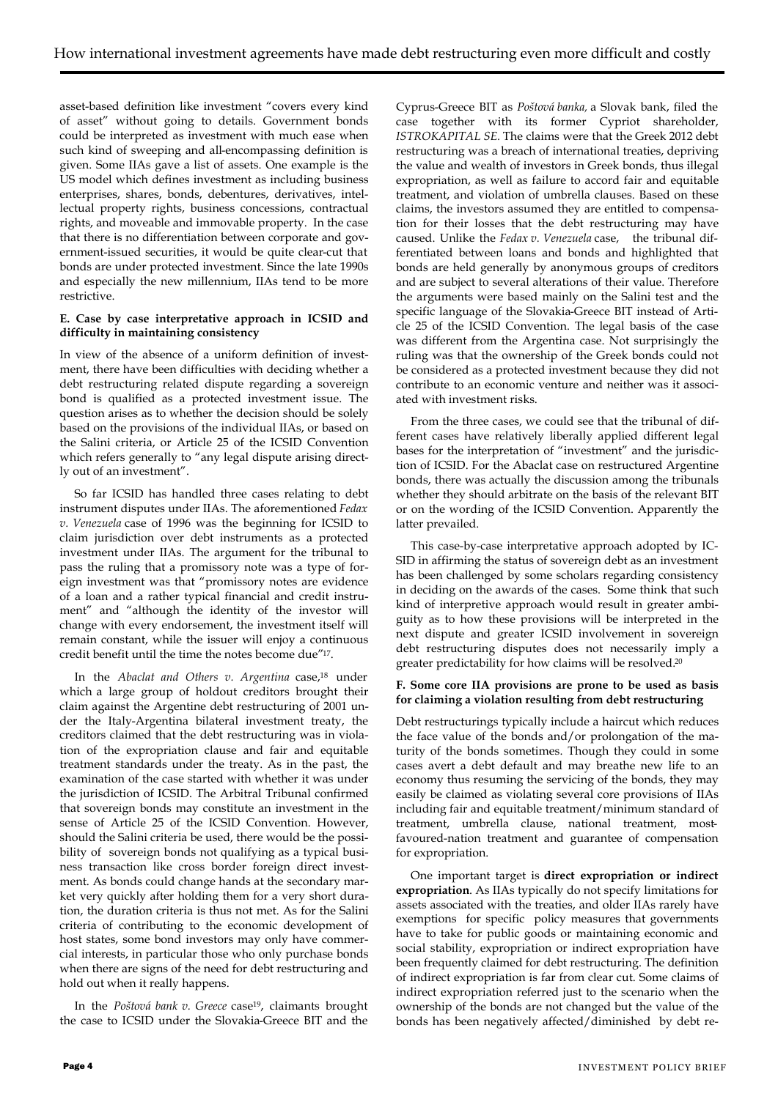asset-based definition like investment "covers every kind of asset" without going to details. Government bonds could be interpreted as investment with much ease when such kind of sweeping and all-encompassing definition is given. Some IIAs gave a list of assets. One example is the US model which defines investment as including business enterprises, shares, bonds, debentures, derivatives, intellectual property rights, business concessions, contractual rights, and moveable and immovable property. In the case that there is no differentiation between corporate and government-issued securities, it would be quite clear-cut that bonds are under protected investment. Since the late 1990s and especially the new millennium, IIAs tend to be more restrictive.

### **E. Case by case interpretative approach in ICSID and difficulty in maintaining consistency**

In view of the absence of a uniform definition of investment, there have been difficulties with deciding whether a debt restructuring related dispute regarding a sovereign bond is qualified as a protected investment issue. The question arises as to whether the decision should be solely based on the provisions of the individual IIAs, or based on the Salini criteria, or Article 25 of the ICSID Convention which refers generally to "any legal dispute arising directly out of an investment".

So far ICSID has handled three cases relating to debt instrument disputes under IIAs. The aforementioned *Fedax v. Venezuela* case of 1996 was the beginning for ICSID to claim jurisdiction over debt instruments as a protected investment under IIAs. The argument for the tribunal to pass the ruling that a promissory note was a type of foreign investment was that "promissory notes are evidence of a loan and a rather typical financial and credit instrument" and "although the identity of the investor will change with every endorsement, the investment itself will remain constant, while the issuer will enjoy a continuous credit benefit until the time the notes become due"17.

In the *Abaclat and Others v. Argentina* case,<sup>18</sup> under which a large group of holdout creditors brought their claim against the Argentine debt restructuring of 2001 under the Italy-Argentina bilateral investment treaty, the creditors claimed that the debt restructuring was in violation of the expropriation clause and fair and equitable treatment standards under the treaty. As in the past, the examination of the case started with whether it was under the jurisdiction of ICSID. The Arbitral Tribunal confirmed that sovereign bonds may constitute an investment in the sense of Article 25 of the ICSID Convention. However, should the Salini criteria be used, there would be the possibility of sovereign bonds not qualifying as a typical business transaction like cross border foreign direct investment. As bonds could change hands at the secondary market very quickly after holding them for a very short duration, the duration criteria is thus not met. As for the Salini criteria of contributing to the economic development of host states, some bond investors may only have commercial interests, in particular those who only purchase bonds when there are signs of the need for debt restructuring and hold out when it really happens.

In the *Poštová bank v. Greece* case19, claimants brought the case to ICSID under the Slovakia-Greece BIT and the

Cyprus-Greece BIT as *Poštová banka,* a Slovak bank, filed the case together with its former Cypriot shareholder, *ISTROKAPITAL SE.* The claims were that the Greek 2012 debt restructuring was a breach of international treaties, depriving the value and wealth of investors in Greek bonds, thus illegal expropriation, as well as failure to accord fair and equitable treatment, and violation of umbrella clauses. Based on these claims, the investors assumed they are entitled to compensation for their losses that the debt restructuring may have caused. Unlike the *Fedax v. Venezuela* case, the tribunal differentiated between loans and bonds and highlighted that bonds are held generally by anonymous groups of creditors and are subject to several alterations of their value. Therefore the arguments were based mainly on the Salini test and the specific language of the Slovakia-Greece BIT instead of Article 25 of the ICSID Convention. The legal basis of the case was different from the Argentina case. Not surprisingly the ruling was that the ownership of the Greek bonds could not be considered as a protected investment because they did not contribute to an economic venture and neither was it associated with investment risks.

From the three cases, we could see that the tribunal of different cases have relatively liberally applied different legal bases for the interpretation of "investment" and the jurisdiction of ICSID. For the Abaclat case on restructured Argentine bonds, there was actually the discussion among the tribunals whether they should arbitrate on the basis of the relevant BIT or on the wording of the ICSID Convention. Apparently the latter prevailed.

This case-by-case interpretative approach adopted by IC-SID in affirming the status of sovereign debt as an investment has been challenged by some scholars regarding consistency in deciding on the awards of the cases. Some think that such kind of interpretive approach would result in greater ambiguity as to how these provisions will be interpreted in the next dispute and greater ICSID involvement in sovereign debt restructuring disputes does not necessarily imply a greater predictability for how claims will be resolved.<sup>20</sup>

### **F. Some core IIA provisions are prone to be used as basis for claiming a violation resulting from debt restructuring**

Debt restructurings typically include a haircut which reduces the face value of the bonds and/or prolongation of the maturity of the bonds sometimes. Though they could in some cases avert a debt default and may breathe new life to an economy thus resuming the servicing of the bonds, they may easily be claimed as violating several core provisions of IIAs including fair and equitable treatment/minimum standard of treatment, umbrella clause, national treatment, mostfavoured-nation treatment and guarantee of compensation for expropriation.

One important target is **direct expropriation or indirect expropriation**. As IIAs typically do not specify limitations for assets associated with the treaties, and older IIAs rarely have exemptions for specific policy measures that governments have to take for public goods or maintaining economic and social stability, expropriation or indirect expropriation have been frequently claimed for debt restructuring. The definition of indirect expropriation is far from clear cut. Some claims of indirect expropriation referred just to the scenario when the ownership of the bonds are not changed but the value of the bonds has been negatively affected/diminished by debt re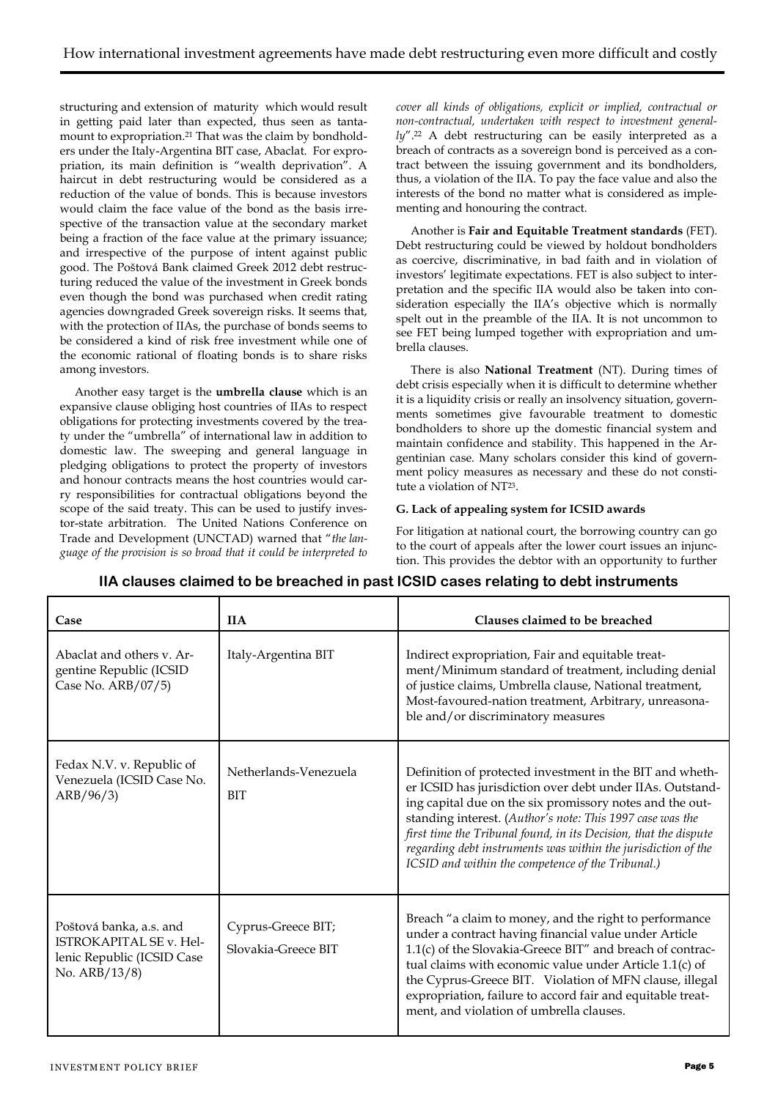structuring and extension of maturity which would result in getting paid later than expected, thus seen as tantamount to expropriation.<sup>21</sup> That was the claim by bondholders under the Italy-Argentina BIT case, Abaclat. For expropriation, its main definition is "wealth deprivation". A haircut in debt restructuring would be considered as a reduction of the value of bonds. This is because investors would claim the face value of the bond as the basis irrespective of the transaction value at the secondary market being a fraction of the face value at the primary issuance; and irrespective of the purpose of intent against public good. The Poštová Bank claimed Greek 2012 debt restructuring reduced the value of the investment in Greek bonds even though the bond was purchased when credit rating agencies downgraded Greek sovereign risks. It seems that, with the protection of IIAs, the purchase of bonds seems to be considered a kind of risk free investment while one of the economic rational of floating bonds is to share risks among investors.

Another easy target is the **umbrella clause** which is an expansive clause obliging host countries of IIAs to respect obligations for protecting investments covered by the treaty under the "umbrella" of international law in addition to domestic law. The sweeping and general language in pledging obligations to protect the property of investors and honour contracts means the host countries would carry responsibilities for contractual obligations beyond the scope of the said treaty. This can be used to justify investor-state arbitration. The United Nations Conference on Trade and Development (UNCTAD) warned that "*the language of the provision is so broad that it could be interpreted to* 

*cover all kinds of obligations, explicit or implied, contractual or non-contractual, undertaken with respect to investment general*ly".<sup>22</sup> A debt restructuring can be easily interpreted as a breach of contracts as a sovereign bond is perceived as a contract between the issuing government and its bondholders, thus, a violation of the IIA. To pay the face value and also the interests of the bond no matter what is considered as implementing and honouring the contract.

Another is **Fair and Equitable Treatment standards** (FET). Debt restructuring could be viewed by holdout bondholders as coercive, discriminative, in bad faith and in violation of investors' legitimate expectations. FET is also subject to interpretation and the specific IIA would also be taken into consideration especially the IIA's objective which is normally spelt out in the preamble of the IIA. It is not uncommon to see FET being lumped together with expropriation and umbrella clauses.

There is also **National Treatment** (NT). During times of debt crisis especially when it is difficult to determine whether it is a liquidity crisis or really an insolvency situation, governments sometimes give favourable treatment to domestic bondholders to shore up the domestic financial system and maintain confidence and stability. This happened in the Argentinian case. Many scholars consider this kind of government policy measures as necessary and these do not constitute a violation of NT23.

### **G. Lack of appealing system for ICSID awards**

For litigation at national court, the borrowing country can go to the court of appeals after the lower court issues an injunction. This provides the debtor with an opportunity to further

| Case                                                                                                     | <b>IIA</b>                                | Clauses claimed to be breached                                                                                                                                                                                                                                                                                                                                                                                                           |
|----------------------------------------------------------------------------------------------------------|-------------------------------------------|------------------------------------------------------------------------------------------------------------------------------------------------------------------------------------------------------------------------------------------------------------------------------------------------------------------------------------------------------------------------------------------------------------------------------------------|
| Abaclat and others v. Ar-<br>gentine Republic (ICSID<br>Case No. ARB/07/5)                               | Italy-Argentina BIT                       | Indirect expropriation, Fair and equitable treat-<br>ment/Minimum standard of treatment, including denial<br>of justice claims, Umbrella clause, National treatment,<br>Most-favoured-nation treatment, Arbitrary, unreasona-<br>ble and/or discriminatory measures                                                                                                                                                                      |
| Fedax N.V. v. Republic of<br>Venezuela (ICSID Case No.<br>ARB/96/3)                                      | Netherlands-Venezuela<br><b>BIT</b>       | Definition of protected investment in the BIT and wheth-<br>er ICSID has jurisdiction over debt under IIAs. Outstand-<br>ing capital due on the six promissory notes and the out-<br>standing interest. (Author's note: This 1997 case was the<br>first time the Tribunal found, in its Decision, that the dispute<br>regarding debt instruments was within the jurisdiction of the<br>ICSID and within the competence of the Tribunal.) |
| Poštová banka, a.s. and<br><b>ISTROKAPITAL SE v. Hel-</b><br>lenic Republic (ICSID Case<br>No. ARB/13/8) | Cyprus-Greece BIT;<br>Slovakia-Greece BIT | Breach "a claim to money, and the right to performance<br>under a contract having financial value under Article<br>1.1(c) of the Slovakia-Greece BIT" and breach of contrac-<br>tual claims with economic value under Article 1.1(c) of<br>the Cyprus-Greece BIT. Violation of MFN clause, illegal<br>expropriation, failure to accord fair and equitable treat-<br>ment, and violation of umbrella clauses.                             |

# **IIA clauses claimed to be breached in past ICSID cases relating to debt instruments**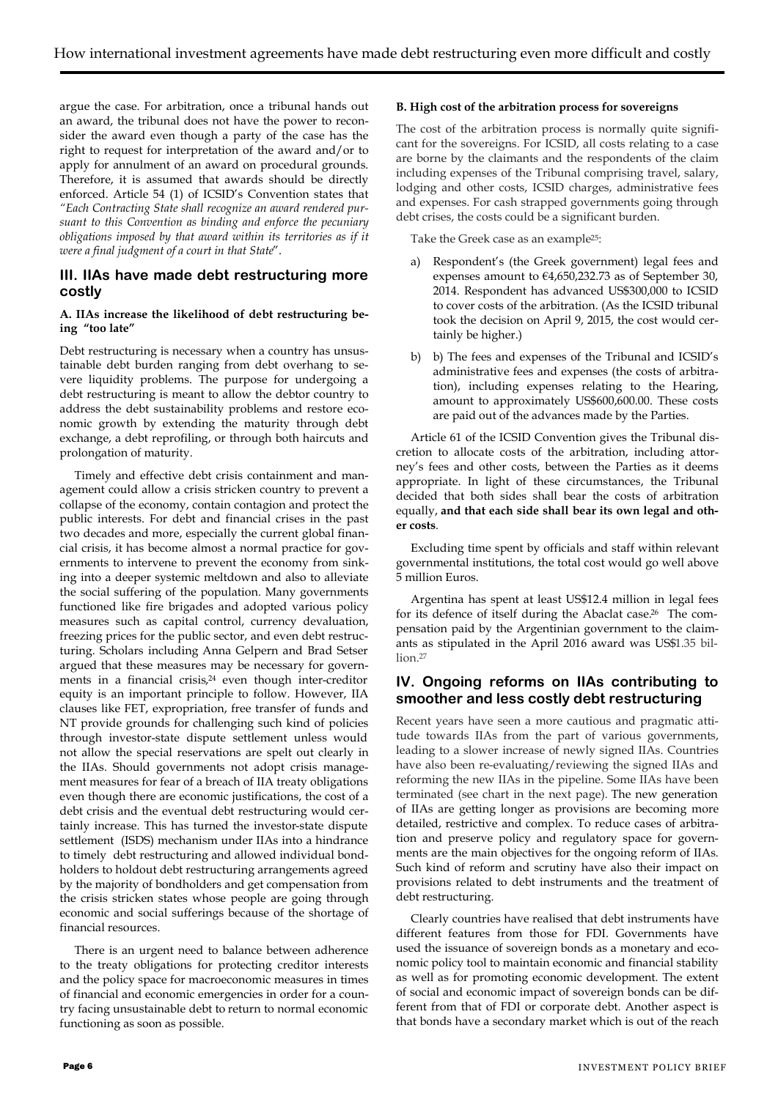argue the case. For arbitration, once a tribunal hands out an award, the tribunal does not have the power to reconsider the award even though a party of the case has the right to request for interpretation of the award and/or to apply for annulment of an award on procedural grounds. Therefore, it is assumed that awards should be directly enforced. Article 54 (1) of ICSID's Convention states that *"Each Contracting State shall recognize an award rendered pursuant to this Convention as binding and enforce the pecuniary obligations imposed by that award within its territories as if it were a final judgment of a court in that State*".

# **III. IIAs have made debt restructuring more costly**

### **A. IIAs increase the likelihood of debt restructuring being "too late"**

Debt restructuring is necessary when a country has unsustainable debt burden ranging from debt overhang to severe liquidity problems. The purpose for undergoing a debt restructuring is meant to allow the debtor country to address the debt sustainability problems and restore economic growth by extending the maturity through debt exchange, a debt reprofiling, or through both haircuts and prolongation of maturity.

Timely and effective debt crisis containment and management could allow a crisis stricken country to prevent a collapse of the economy, contain contagion and protect the public interests. For debt and financial crises in the past two decades and more, especially the current global financial crisis, it has become almost a normal practice for governments to intervene to prevent the economy from sinking into a deeper systemic meltdown and also to alleviate the social suffering of the population. Many governments functioned like fire brigades and adopted various policy measures such as capital control, currency devaluation, freezing prices for the public sector, and even debt restructuring. Scholars including Anna Gelpern and Brad Setser argued that these measures may be necessary for governments in a financial crisis, <sup>24</sup> even though inter-creditor equity is an important principle to follow. However, IIA clauses like FET, expropriation, free transfer of funds and NT provide grounds for challenging such kind of policies through investor-state dispute settlement unless would not allow the special reservations are spelt out clearly in the IIAs. Should governments not adopt crisis management measures for fear of a breach of IIA treaty obligations even though there are economic justifications, the cost of a debt crisis and the eventual debt restructuring would certainly increase. This has turned the investor-state dispute settlement (ISDS) mechanism under IIAs into a hindrance to timely debt restructuring and allowed individual bondholders to holdout debt restructuring arrangements agreed by the majority of bondholders and get compensation from the crisis stricken states whose people are going through economic and social sufferings because of the shortage of financial resources.

There is an urgent need to balance between adherence to the treaty obligations for protecting creditor interests and the policy space for macroeconomic measures in times of financial and economic emergencies in order for a country facing unsustainable debt to return to normal economic functioning as soon as possible.

### **B. High cost of the arbitration process for sovereigns**

The cost of the arbitration process is normally quite significant for the sovereigns. For ICSID, all costs relating to a case are borne by the claimants and the respondents of the claim including expenses of the Tribunal comprising travel, salary, lodging and other costs, ICSID charges, administrative fees and expenses. For cash strapped governments going through debt crises, the costs could be a significant burden.

Take the Greek case as an example25:

- a) Respondent's (the Greek government) legal fees and expenses amount to €4,650,232.73 as of September 30, 2014. Respondent has advanced US\$300,000 to ICSID to cover costs of the arbitration. (As the ICSID tribunal took the decision on April 9, 2015, the cost would certainly be higher.)
- b) b) The fees and expenses of the Tribunal and ICSID's administrative fees and expenses (the costs of arbitration), including expenses relating to the Hearing, amount to approximately US\$600,600.00. These costs are paid out of the advances made by the Parties.

Article 61 of the ICSID Convention gives the Tribunal discretion to allocate costs of the arbitration, including attorney's fees and other costs, between the Parties as it deems appropriate. In light of these circumstances, the Tribunal decided that both sides shall bear the costs of arbitration equally, **and that each side shall bear its own legal and other costs**.

Excluding time spent by officials and staff within relevant governmental institutions, the total cost would go well above 5 million Euros.

Argentina has spent at least US\$12.4 million in legal fees for its defence of itself during the Abaclat case.26 The compensation paid by the Argentinian government to the claimants as stipulated in the April 2016 award was US\$1.35 billion<sup>27</sup>

# **IV. Ongoing reforms on IIAs contributing to smoother and less costly debt restructuring**

Recent years have seen a more cautious and pragmatic attitude towards IIAs from the part of various governments, leading to a slower increase of newly signed IIAs. Countries have also been re-evaluating/reviewing the signed IIAs and reforming the new IIAs in the pipeline. Some IIAs have been terminated (see chart in the next page). The new generation of IIAs are getting longer as provisions are becoming more detailed, restrictive and complex. To reduce cases of arbitration and preserve policy and regulatory space for governments are the main objectives for the ongoing reform of IIAs. Such kind of reform and scrutiny have also their impact on provisions related to debt instruments and the treatment of debt restructuring.

Clearly countries have realised that debt instruments have different features from those for FDI. Governments have used the issuance of sovereign bonds as a monetary and economic policy tool to maintain economic and financial stability as well as for promoting economic development. The extent of social and economic impact of sovereign bonds can be different from that of FDI or corporate debt. Another aspect is that bonds have a secondary market which is out of the reach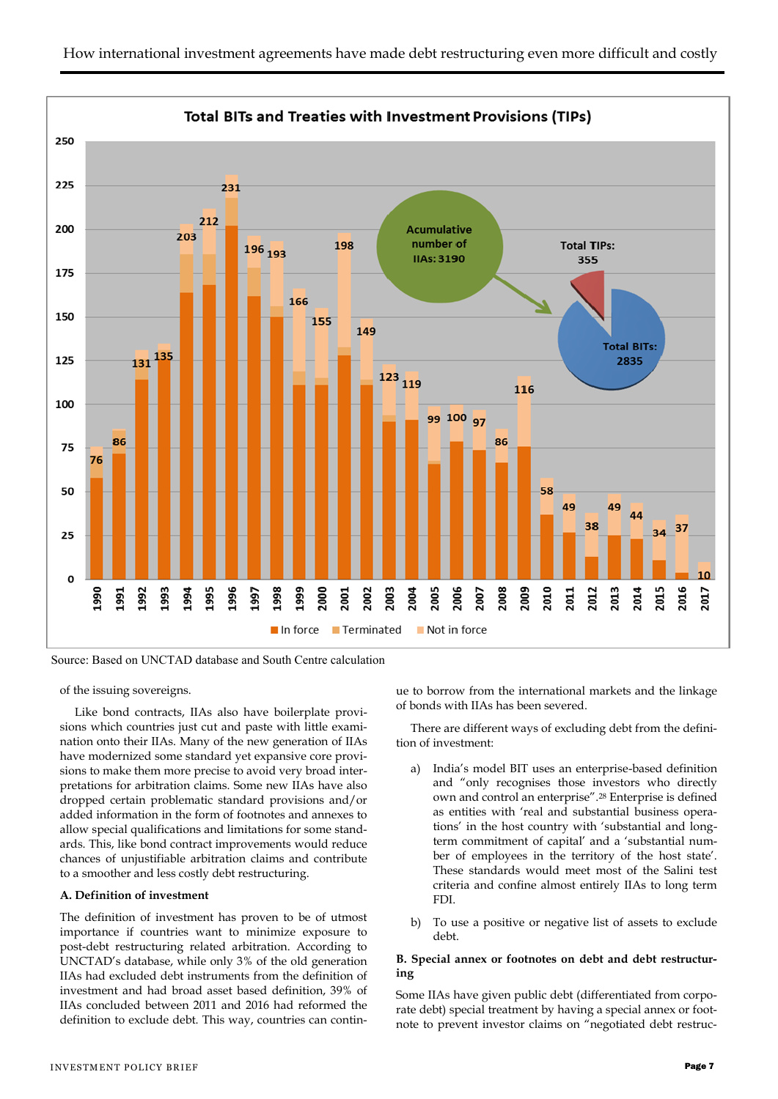

Source: Based on UNCTAD database and South Centre calculation

of the issuing sovereigns.

Like bond contracts, IIAs also have boilerplate provisions which countries just cut and paste with little examination onto their IIAs. Many of the new generation of IIAs have modernized some standard yet expansive core provisions to make them more precise to avoid very broad interpretations for arbitration claims. Some new IIAs have also dropped certain problematic standard provisions and/or added information in the form of footnotes and annexes to allow special qualifications and limitations for some standards. This, like bond contract improvements would reduce chances of unjustifiable arbitration claims and contribute to a smoother and less costly debt restructuring.

### **A. Definition of investment**

The definition of investment has proven to be of utmost importance if countries want to minimize exposure to post-debt restructuring related arbitration. According to UNCTAD's database, while only 3% of the old generation IIAs had excluded debt instruments from the definition of investment and had broad asset based definition, 39% of IIAs concluded between 2011 and 2016 had reformed the definition to exclude debt. This way, countries can continue to borrow from the international markets and the linkage of bonds with IIAs has been severed.

There are different ways of excluding debt from the definition of investment:

- a) India's model BIT uses an enterprise-based definition and "only recognises those investors who directly own and control an enterprise".<sup>28</sup> Enterprise is defined as entities with 'real and substantial business operations' in the host country with 'substantial and longterm commitment of capital' and a 'substantial number of employees in the territory of the host state'. These standards would meet most of the Salini test criteria and confine almost entirely IIAs to long term FDI.
- b) To use a positive or negative list of assets to exclude debt.

### **B. Special annex or footnotes on debt and debt restructuring**

Some IIAs have given public debt (differentiated from corporate debt) special treatment by having a special annex or footnote to prevent investor claims on "negotiated debt restruc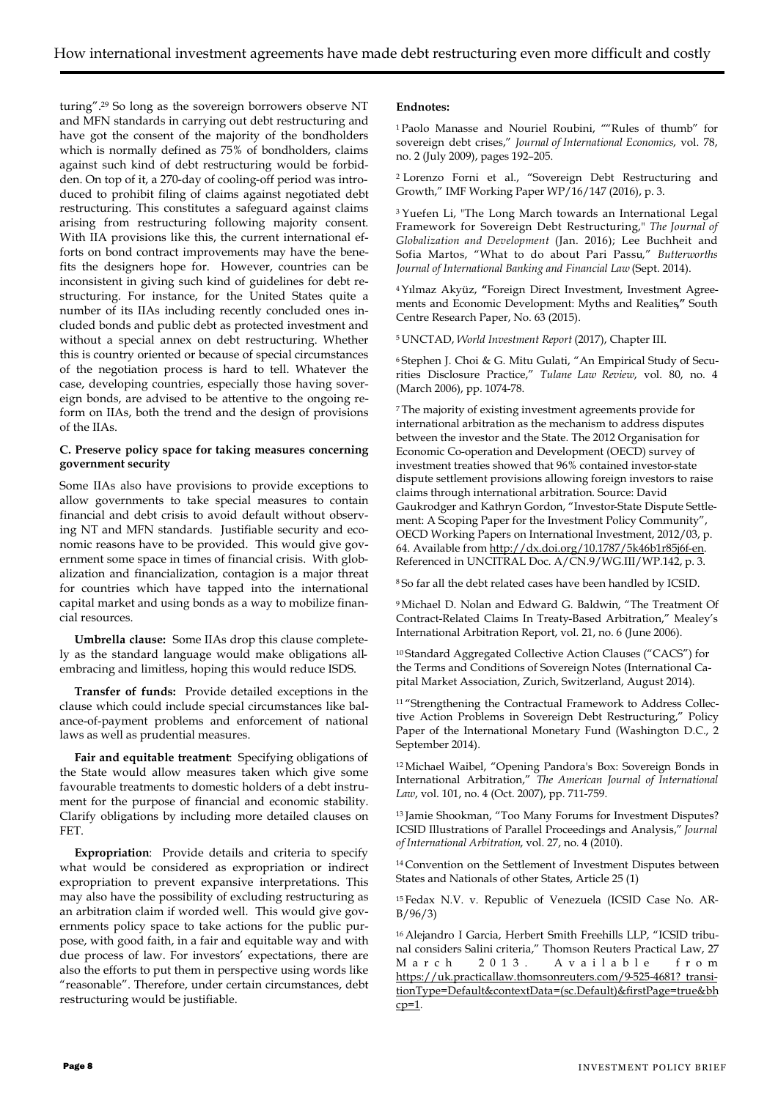turing".<sup>29</sup> So long as the sovereign borrowers observe NT and MFN standards in carrying out debt restructuring and have got the consent of the majority of the bondholders which is normally defined as 75% of bondholders, claims against such kind of debt restructuring would be forbidden. On top of it, a 270-day of cooling-off period was introduced to prohibit filing of claims against negotiated debt restructuring. This constitutes a safeguard against claims arising from restructuring following majority consent. With IIA provisions like this, the current international efforts on bond contract improvements may have the benefits the designers hope for. However, countries can be inconsistent in giving such kind of guidelines for debt restructuring. For instance, for the United States quite a number of its IIAs including recently concluded ones included bonds and public debt as protected investment and without a special annex on debt restructuring. Whether this is country oriented or because of special circumstances of the negotiation process is hard to tell. Whatever the case, developing countries, especially those having sovereign bonds, are advised to be attentive to the ongoing reform on IIAs, both the trend and the design of provisions of the IIAs.

### **C. Preserve policy space for taking measures concerning government security**

Some IIAs also have provisions to provide exceptions to allow governments to take special measures to contain financial and debt crisis to avoid default without observing NT and MFN standards. Justifiable security and economic reasons have to be provided. This would give government some space in times of financial crisis. With globalization and financialization, contagion is a major threat for countries which have tapped into the international capital market and using bonds as a way to mobilize financial resources.

**Umbrella clause:** Some IIAs drop this clause completely as the standard language would make obligations allembracing and limitless, hoping this would reduce ISDS.

**Transfer of funds:** Provide detailed exceptions in the clause which could include special circumstances like balance-of-payment problems and enforcement of national laws as well as prudential measures.

**Fair and equitable treatment**: Specifying obligations of the State would allow measures taken which give some favourable treatments to domestic holders of a debt instrument for the purpose of financial and economic stability. Clarify obligations by including more detailed clauses on FET.

**Expropriation**: Provide details and criteria to specify what would be considered as expropriation or indirect expropriation to prevent expansive interpretations. This may also have the possibility of excluding restructuring as an arbitration claim if worded well. This would give governments policy space to take actions for the public purpose, with good faith, in a fair and equitable way and with due process of law. For investors' expectations, there are also the efforts to put them in perspective using words like "reasonable". Therefore, under certain circumstances, debt restructuring would be justifiable.

### **Endnotes:**

<sup>1</sup>Paolo Manasse and Nouriel Roubini, ""Rules of thumb" for sovereign debt crises," *Journal of International Economics*, vol. 78, no. 2 (July 2009), pages 192–205.

<sup>2</sup>[Lorenzo Forni](https://www.imf.org/en/Publications/Publications-By-Author?author=Lorenzo%20%20Forni) et al., "Sovereign Debt Restructuring and Growth," IMF Working Paper WP/16/147 (2016), p. 3.

<sup>3</sup>Yuefen Li, "The Long March towards an International Legal Framework for Sovereign Debt Restructuring," *The Journal of Globalization and Development* (Jan. 2016); Lee Buchheit and Sofia Martos, "What to do about Pari Passu*,*" *Butterworths Journal of International Banking and Financial Law* (Sept. 2014).

<sup>4</sup>Yılmaz Akyüz, **"**Foreign Direct Investment, Investment Agreements and Economic Development: Myths and Realities**,"** South Centre Research Paper, No. 63 (2015).

<sup>5</sup>UNCTAD, *World Investment Report* (2017), Chapter III.

6 Stephen J. Choi & G. Mitu Gulati, "An Empirical Study of Securities Disclosure Practice," *Tulane Law Review*, vol. 80, no. 4 (March 2006), pp. 1074-78.

<sup>7</sup>The majority of existing investment agreements provide for international arbitration as the mechanism to address disputes between the investor and the State. The 2012 Organisation for Economic Co-operation and Development (OECD) survey of investment treaties showed that 96% contained investor-state dispute settlement provisions allowing foreign investors to raise claims through international arbitration. Source: David Gaukrodger and Kathryn Gordon, "Investor-State Dispute Settlement: A Scoping Paper for the Investment Policy Community", OECD Working Papers on International Investment, 2012/03, p. 64. Available from http://dx.doi.org/10.1787/5k46b1r85j6f-en. Referenced in UNCITRAL Doc. A/CN.9/WG.III/WP.142, p. 3.

<sup>8</sup>So far all the debt related cases have been handled by ICSID.

<sup>9</sup>Michael D. Nolan and Edward G. Baldwin, "The Treatment Of Contract-Related Claims In Treaty-Based Arbitration," Mealey's International Arbitration Report, vol. 21, no. 6 (June 2006).

<sup>10</sup>Standard Aggregated Collective Action Clauses ("CACS") for the Terms and Conditions of Sovereign Notes (International Capital Market Association, Zurich, Switzerland, August 2014).

<sup>11</sup> "Strengthening the Contractual Framework to Address Collective Action Problems in Sovereign Debt Restructuring," Policy Paper of the International Monetary Fund (Washington D.C., 2 September 2014).

<sup>12</sup>Michael Waibel, "Opening Pandora's Box: Sovereign Bonds in International Arbitration," *The American Journal of International Law*, vol. 101, no. 4 (Oct. 2007), pp. 711-759.

<sup>13</sup>Jamie Shookman, "Too Many Forums for Investment Disputes? ICSID Illustrations of Parallel Proceedings and Analysis," *Journal of International Arbitration*, vol. 27, no. 4 (2010).

<sup>14</sup>Convention on the Settlement of Investment Disputes between States and Nationals of other States, Article 25 (1)

15 Fedax N.V. v. Republic of Venezuela (ICSID Case No. AR- $B/96/3)$ 

16 Alejandro I Garcia, Herbert Smith Freehills LLP, "ICSID tribunal considers Salini criteria," Thomson Reuters Practical Law, 27 March 2013. Available from [https://uk.practicallaw.thomsonreuters.com/9-525-4681?](https://uk.practicallaw.thomsonreuters.com/9-525-4681) transitionType=Default&contextData=(sc.Default)&firstPage=true&bh  $cp=1$ .